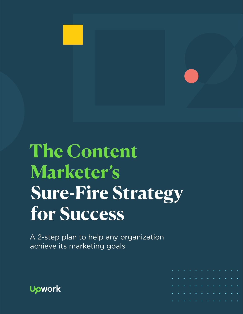

# **The Content Marketer's Sure-Fire Strategy for Success**

A 2-step plan to help any organization achieve its marketing goals



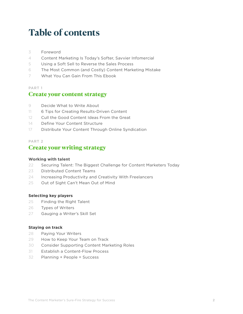# **Table of contents**

- [Foreword](#page-2-0)
- [Content Marketing Is Today's Softer, Savvier Infomercial](#page-3-0)
- [Using a Soft Sell to Reverse the Sales Process](#page-4-0)
- [The Most Common \(and Costly\) Content Marketing Mistake](#page-5-0)
- [What You Can Gain From This Ebook](#page-6-0)

#### PART 1

#### Create your content strategy

- [Decide What to Write About](#page-8-0)
- [6 Tips for Creating Results-Driven Content](#page-10-0)
- [Cull the Good Content Ideas From the Great](#page-11-0)
- [Define Your Content Structure](#page-13-0)
- [Distribute Your Content Through Online Syndication](#page-16-0)

#### PART 2 Create your writing strategy

#### **Working with talent**

- [Securing Talent: The Biggest Challenge for Content Marketers Today](#page-21-0)
- [Distributed Content Teams](#page-22-0)
- [Increasing Productivity and Creativity With Freelancers](#page-23-0)
- [Out of Sight Can't Mean Out of Mind](#page-24-0)

#### **Selecting key players**

- [Finding the Right Talent](#page-24-0)
- [Types of Writers](#page-25-0)
- [Gauging a Writer's Skill Set](#page-26-0)

#### **Staying on track**

- [Paying Your Writers](#page-27-0)
- [How to Keep Your Team on Track](#page-28-0)
- [Consider Supporting Content Marketing Roles](#page-29-0)
- [Establish a Content-Flow Process](#page-30-0)
- [Planning + People = Success](#page-31-0)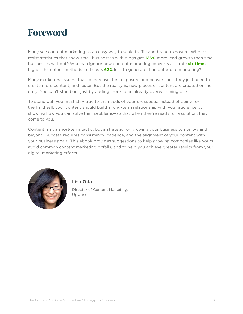### <span id="page-2-0"></span>**Foreword**

Many see content marketing as an easy way to scale traffic and brand exposure. Who can resist statistics that show small businesses with blogs get **[126%](http://contentmarketinginstitute.com/2017/10/stats-invest-content-marketing/)** more lead growth than small businesses without? Who can ignore how content marketing converts at a rate **[six times](http://contentmarketinginstitute.com/2017/10/stats-invest-content-marketing/)** higher than other methods and costs **[62%](http://contentmarketinginstitute.com/2017/10/stats-invest-content-marketing/)** less to generate than outbound marketing?

Many marketers assume that to increase their exposure and conversions, they just need to create more content, and faster. But the reality is, new pieces of content are created online daily. You can't stand out just by adding more to an already overwhelming pile.

To stand out, you must stay true to the needs of your prospects. Instead of going for the hard sell, your content should build a long-term relationship with your audience by showing how you can solve their problems—so that when they're ready for a solution, they come to you.

Content isn't a short-term tactic, but a strategy for growing your business tomorrow and beyond. Success requires consistency, patience, and the alignment of your content with your business goals. This ebook provides suggestions to help growing companies like yours avoid common content marketing pitfalls, and to help you achieve greater results from your digital marketing efforts.



**Lisa Oda** 

Director of Content Marketing, Upwork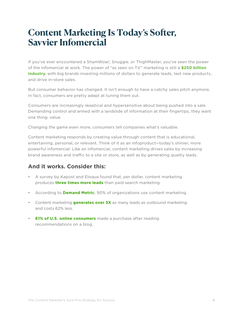### <span id="page-3-0"></span>**Content Marketing Is Today's Softer, Savvier Infomercial**

If you've ever encountered a ShamWow!, Snuggie, or ThighMaster, you've seen the power of the infomercial at work. The power of "as seen on TV" marketing is still a **[\\$250 billion](http://priceonomics.com/the-economics-of-infomercials/)  [industry](http://priceonomics.com/the-economics-of-infomercials/)**, with big brands investing millions of dollars to generate leads, test new products, and drive in-store sales.

But consumer behavior has changed. It isn't enough to have a catchy sales pitch anymore. In fact, consumers are pretty adept at tuning them out.

Consumers are increasingly skeptical and hypersensitive about being pushed into a sale. Demanding control and armed with a landslide of information at their fingertips, they want one thing: value.

Changing the game even more, consumers tell companies what's valuable.

Content marketing responds by creating value through content that is educational, entertaining, personal, or relevant. Think of it as an infoproduct—today's shinier, more powerful infomercial. Like an infomercial, content marketing drives sales by increasing brand awareness and traffic to a site or store, as well as by generating quality leads.

### **And it works. Consider this:**

- A survey by Kapost and Eloqua found that, per dollar, content marketing produces **[three times more leads](http://www.oracle.com/webfolder/mediaeloqua/documents/Content+Marketing+Kapost+Eloqua+ebook.pdf)** than paid search marketing.
- According to **[Demand Metric](https://www.demandmetric.com/content/content-marketing-infographic)**, 90% of organizations use content marketing.
- Content marketing **[generates over 3X](https://www.demandmetric.com/content/content-marketing-infographic)** as many leads as outbound marketing and costs 62% less.
- **[61% of U.S. online consumers](http://contentmarketinginstitute.com/2017/10/know-like-trust-content/)** made a purchase after reading recommendations on a blog.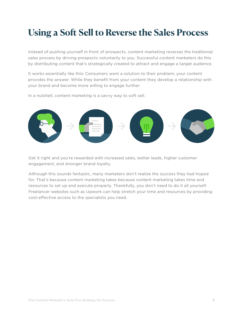# <span id="page-4-0"></span>**Using a Soft Sell to Reverse the Sales Process**

Instead of pushing yourself in front of prospects, content marketing reverses the traditional sales process by driving prospects voluntarily to you. Successful content marketers do this by distributing content that's strategically created to attract and engage a target audience.

It works essentially like this: Consumers want a solution to their problem; your content provides the answer. While they benefit from your content they develop a relationship with your brand and become more willing to engage further.

In a nutshell, content marketing is a savvy way to soft sell.



Get it right and you're rewarded with increased sales, better leads, higher customer engagement, and stronger brand loyalty.

Although this sounds fantastic, many marketers don't realize the success they had hoped for. That's because content marketing takes because content marketing takes time and resources to set up and execute properly. Thankfully, you don't need to do it all yourself. Freelancer websites such as Upwork can help stretch your time and resources by providing cost-effective access to the specialists you need.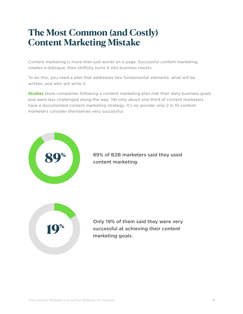### <span id="page-5-0"></span>**The Most Common (and Costly) Content Marketing Mistake**

Content marketing is more than just words on a page. Successful content marketing creates a dialogue, then skillfully turns it into business results.

To do this, you need a plan that addresses two fundamental elements: what will be written, and who will write it.

**[Studies](http://contentmarketinginstitute.com/wp-content/uploads/2016/09/2017_B2B_Research_FINAL.pdf)** show companies following a content marketing plan met their daily business goals and were less challenged along the way. Yet only about one-third of content marketers have a documented content marketing strategy. It's no wonder only 2 in 10 content marketers consider themselves very successful.



89% of B2B marketers said they used content marketing.



Only 19% of them said they were very successful at achieving their content marketing goals.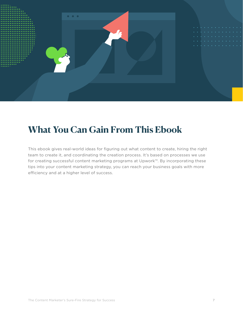<span id="page-6-0"></span>

### **What You Can Gain From This Ebook**

This ebook gives real-world ideas for figuring out what content to create, hiring the right team to create it, and coordinating the creation process. It's based on processes we use for creating successful content marketing programs at Upwork™. By incorporating these tips into your content marketing strategy, you can reach your business goals with more efficiency and at a higher level of success.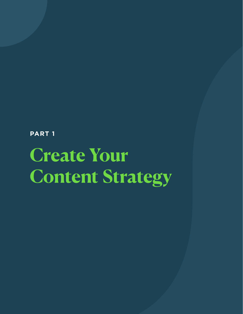**PART 1**

# **Create Your Content Strategy**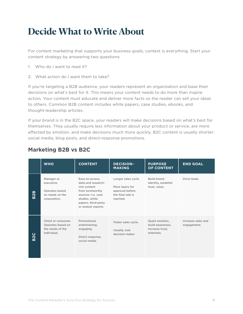# <span id="page-8-0"></span>**Decide What to Write About**

For content marketing that supports your business goals, context is everything. Start your content strategy by answering two questions:

- 1. Who do I want to read it?
- 2. What action do I want them to take?

If you're targeting a B2B audience, your readers represent an organization and base their decisions on what's best for it. This means your content needs to do more than inspire action. Your content must educate and deliver more facts so the reader can sell your ideas to others. Common B2B content includes white papers, case studies, ebooks, and thought-leadership articles.

If your brand is in the B2C space, your readers will make decisions based on what's best for themselves. They usually require less information about your product or service, are more affected by emotion, and make decisions much more quickly. B2C content is usually shorter: social media, blog posts, and direct-response promotions.

|                             | <b>WHO</b>                                                                    | <b>CONTENT</b>                                                                                                                                                 | <b>DECISION-</b><br><b>MAKING</b>                                                          | <b>PURPOSE</b><br><b>OF CONTENT</b>                                 | <b>END GOAL</b>                   |
|-----------------------------|-------------------------------------------------------------------------------|----------------------------------------------------------------------------------------------------------------------------------------------------------------|--------------------------------------------------------------------------------------------|---------------------------------------------------------------------|-----------------------------------|
| മ<br>$\mathbf{\Omega}$<br>m | Manager or<br>executive.<br>Operates based<br>on needs on the<br>corporation. | Easy-to-access,<br>data-and research-<br>rich content<br>from turstworthy<br>sources-i.e. case<br>studies, white<br>papers, third-party<br>or analyst reports. | Longer sales cycle.<br>More layers for<br>approval before<br>the final sale is<br>reached. | <b>Build brand</b><br>identity, establish<br>trust, value.          | Drive leads.                      |
| ပ<br>$\tilde{\mathbf{S}}$   | Client or consumer.<br>Operates based on<br>the needs of the<br>individual.   | Promotional,<br>entertraining,<br>engaging.<br>Direct response,<br>social media.                                                                               | Faster sales cycle.<br>Usually, sole<br>decision maker.                                    | Spark emotion,<br>build awareness,<br>increase trust,<br>entertain. | Increase sales and<br>engagement. |

### **Marketing B2B vs B2C**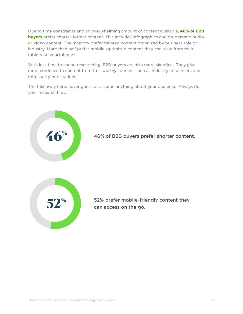Due to time constraints and an overwhelming amount of content available, **[46% of B2B](https://www.demandgenreport.com/resources/research/the-2017-content-preferences-survey-report)  [buyers](https://www.demandgenreport.com/resources/research/the-2017-content-preferences-survey-report)** prefer shorter-format content. This includes infographics and on-demand audio or video content. The majority prefer tailored content organized by business role or industry. More than half prefer mobile-optimized content they can view from their tablets or smartphones.

With less time to spend researching, B2B buyers are also more skeptical. They give more credence to content from trustworthy sources, such as industry influencers and third-party publications.

The takeaway here: never guess or assume anything about your audience. Always do your research first.

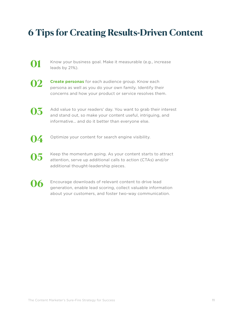## <span id="page-10-0"></span>**6 Tips for Creating Results-Driven Content**

- Know your business goal. Make it measurable (e.g., increase leads by 21%).
- **02**

**01**

**[Create personas](https://goo.gl/m4xwt2)** for each audience group. Know each persona as well as you do your own family. Identify their concerns and how your product or service resolves them.

**03**

Add value to your readers' day. You want to grab their interest and stand out, so make your content useful, intriguing, and informative… and do it better than everyone else.

**04**

Optimize your content for search engine visibility.

- Keep the momentum going. As your content starts to attract attention, serve up additional calls to action (CTAs) and/or additional thought-leadership pieces. **05**
- **06**

Encourage downloads of relevant content to drive lead generation, enable lead scoring, collect valuable information about your customers, and foster two-way communication.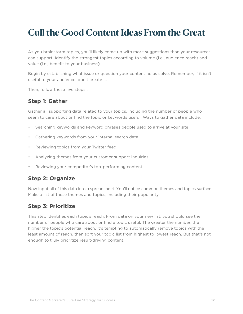# <span id="page-11-0"></span>**Cull the Good Content Ideas From the Great**

As you brainstorm topics, you'll likely come up with more suggestions than your resources can support. Identify the strongest topics according to volume (i.e., audience reach) and value (i.e., benefit to your business).

Begin by establishing what issue or question your content helps solve. Remember, if it isn't useful to your audience, don't create it.

Then, follow these five steps…

### **Step 1: Gather**

Gather all supporting data related to your topics, including the number of people who seem to care about or find the topic or keywords useful. Ways to gather data include:

- Searching keywords and keyword phrases people used to arrive at your site
- Gathering keywords from your internal search data
- Reviewing topics from your Twitter feed
- Analyzing themes from your customer support inquiries
- Reviewing your competitor's top-performing content

### **Step 2: Organize**

Now input all of this data into a spreadsheet. You'll notice common themes and topics surface. Make a list of these themes and topics, including their popularity.

### **Step 3: Prioritize**

This step identifies each topic's reach. From data on your new list, you should see the number of people who care about or find a topic useful. The greater the number, the higher the topic's potential reach. It's tempting to automatically remove topics with the least amount of reach, then sort your topic list from highest to lowest reach. But that's not enough to truly prioritize result-driving content.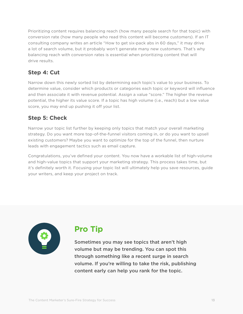Prioritizing content requires balancing reach (how many people search for that topic) with conversion rate (how many people who read this content will become customers). If an IT consulting company writes an article "How to get six-pack abs in 60 days," it may drive a lot of search volume, but it probably won't generate many new customers. That's why balancing reach with conversion rates is essential when prioritizing content that will drive results.

### **Step 4: Cut**

Narrow down this newly sorted list by determining each topic's value to your business. To determine value, consider which products or categories each topic or keyword will influence and then associate it with revenue potential. Assign a value "score." The higher the revenue potential, the higher its value score. If a topic has high volume (i.e., reach) but a low value score, you may end up pushing it off your list.

### **Step 5: Check**

Narrow your topic list further by keeping only topics that match your overall marketing strategy. Do you want more top-of-the-funnel visitors coming in, or do you want to upsell existing customers? Maybe you want to optimize for the top of the funnel, then nurture leads with engagement tactics such as email capture.

Congratulations, you've defined your content. You now have a workable list of high-volume and high-value topics that support your marketing strategy. This process takes time, but it's definitely worth it. Focusing your topic list will ultimately help you save resources, guide your writers, and keep your project on track.



### **Pro Tip**

Sometimes you may see topics that aren't high volume but may be trending. You can spot this through something like a recent surge in search volume. If you're willing to take the risk, publishing content early can help you rank for the topic.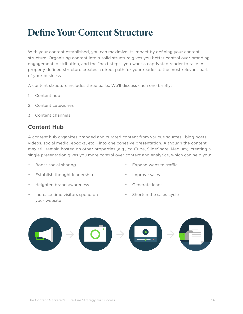# <span id="page-13-0"></span>**Define Your Content Structure**

With your content established, you can maximize its impact by defining your content structure. Organizing content into a solid structure gives you better control over branding, engagement, distribution, and the "next steps" you want a captivated reader to take. A properly defined structure creates a direct path for your reader to the most relevant part of your business.

A content structure includes three parts. We'll discuss each one briefly:

- 1. Content hub
- 2. Content categories
- 3. Content channels

### **Content Hub**

A content hub organizes branded and curated content from various sources—blog posts, videos, social media, ebooks, etc.—into one cohesive presentation. Although the content may still remain hosted on other properties (e.g., YouTube, SlideShare, Medium), creating a single presentation gives you more control over context and analytics, which can help you:

- Boost social sharing
- Establish thought leadership
- Heighten brand awareness
- Increase time visitors spend on your website
- Expand website traffic
- Improve sales
- Generate leads
- Shorten the sales cycle

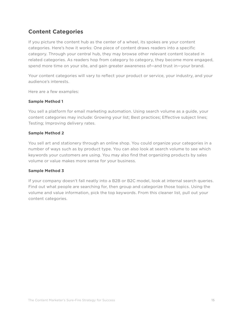### **Content Categories**

If you picture the content hub as the center of a wheel, its spokes are your content categories. Here's how it works: One piece of content draws readers into a specific category. Through your central hub, they may browse other relevant content located in related categories. As readers hop from category to category, they become more engaged, spend more time on your site, and gain greater awareness of—and trust in—your brand.

Your content categories will vary to reflect your product or service, your industry, and your audience's interests.

Here are a few examples:

#### **Sample Method 1**

You sell a platform for email marketing automation. Using search volume as a guide, your content categories may include: Growing your list; Best practices; Effective subject lines; Testing; Improving delivery rates.

#### **Sample Method 2**

You sell art and stationery through an online shop. You could organize your categories in a number of ways such as by product type. You can also look at search volume to see which keywords your customers are using. You may also find that organizing products by sales volume or value makes more sense for your business.

#### **Sample Method 3**

If your company doesn't fall neatly into a B2B or B2C model, look at internal search queries. Find out what people are searching for, then group and categorize those topics. Using the volume and value information, pick the top keywords. From this cleaner list, pull out your content categories.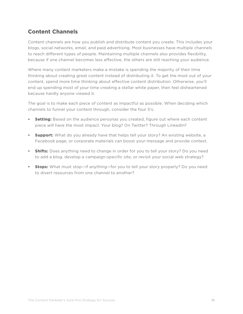### **Content Channels**

Content channels are how you publish and distribute content you create. This includes your blogs, social networks, email, and paid advertising. Most businesses have multiple channels to reach different types of people. Maintaining multiple channels also provides flexibility, because if one channel becomes less effective, the others are still reaching your audience.

Where many content marketers make a mistake is spending the majority of their time thinking about creating great content instead of distributing it. To get the most out of your content, spend more time thinking about effective content distribution. Otherwise, you'll end up spending most of your time creating a stellar white paper, then feel disheartened because hardly anyone viewed it.

The goal is to make each piece of content as impactful as possible. When deciding which channels to funnel your content through, consider the four S's:

- **• Setting:** Based on the audience personas you created, figure out where each content piece will have the most impact. Your blog? On Twitter? Through LinkedIn?
- **• Support:** What do you already have that helps tell your story? An existing website, a Facebook page, or corporate materials can boost your message and provide context.
- **• Shifts:** Does anything need to change in order for you to tell your story? Do you need to add a blog, develop a campaign-specific site, or revisit your social web strategy?
- **• Stops:** What must stop—if anything—for you to tell your story properly? Do you need to divert resources from one channel to another?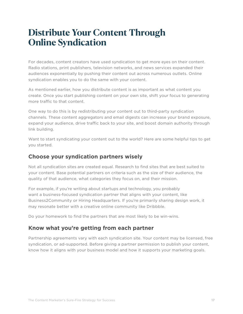### <span id="page-16-0"></span>**Distribute Your Content Through Online Syndication**

For decades, content creators have used syndication to get more eyes on their content. Radio stations, print publishers, television networks, and news services expanded their audiences exponentially by pushing their content out across numerous outlets. Online syndication enables you to do the same with your content.

As mentioned earlier, how you distribute content is as important as what content you create. Once you start publishing content on your own site, shift your focus to generating more traffic to that content.

One way to do this is by redistributing your content out to third-party syndication channels. These content aggregators and email digests can increase your brand exposure, expand your audience, drive traffic back to your site, and boost domain authority through link building.

Want to start syndicating your content out to the world? Here are some helpful tips to get you started.

### **Choose your syndication partners wisely**

Not all syndication sites are created equal. Research to find sites that are best suited to your content. Base potential partners on criteria such as the size of their audience, the quality of that audience, what categories they focus on, and their mission.

For example, if you're writing about startups and technology, you probably want a business-focused syndication partner that aligns with your content, like Business2Community or Hiring Headquarters. If you're primarily sharing design work, it may resonate better with a creative online community like Dribbble.

Do your homework to find the partners that are most likely to be win-wins.

### **Know what you're getting from each partner**

Partnership agreements vary with each syndication site. Your content may be licensed, free syndication, or ad-supported. Before giving a partner permission to publish your content, know how it aligns with your business model and how it supports your marketing goals.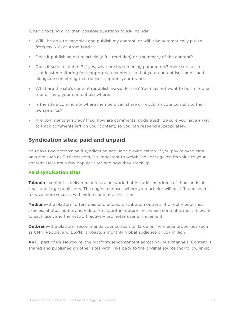When choosing a partner, possible questions to ask include:

- Will I be able to handpick and publish my content, or will it be automatically pulled from my RSS or Atom feed?
- Does it publish an entire article (a full rendition) or a summary of the content?
- Does it screen content? If yes, what are its screening parameters? Make sure a site is at least monitoring for inappropriate content, so that your content isn't published alongside something that doesn't support your brand.
- What are the site's content republishing guidelines? You may not want to be limited on republishing your content elsewhere.
- Is the site a community where members can share or republish your content to their own profiles?
- Are comments enabled? If so, how are comments moderated? Be sure you have a way to track comments left on your content, so you can respond appropriately.

### **Syndication sites: paid and unpaid**

You have two options: paid syndication and unpaid syndication. If you pay to syndicate on a site such as Business.com, it's important to weigh the cost against its value to your content. Here are a few popular sites and how they stack up.

#### **Paid syndication sites**

**Taboola**—content is delivered across a network that includes hundreds of thousands of small and large publishers. The engine chooses where your articles will best fit and seems to have more success with video content at this time.

**Medium**—the platform offers paid and unpaid distribution options. It directly publishes articles, photos, audio, and video. An algorithm determines which content is most relevant to each user, and the network actively promotes user engagement.

**Outbrain**—the platform recommends your content on large online media properties such as CNN, People, and ESPN. It boasts a monthly global audience of 557 million.

**ARC**—part of PR Newswire, the platform sends content across various channels. Content is shared and published on other sites with links back to the original source (no-follow links).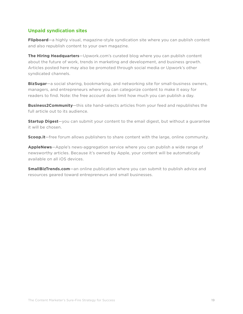#### **Unpaid syndication sites**

**Flipboard**—a highly visual, magazine-style syndication site where you can publish content and also republish content to your own magazine.

**The Hiring Headquarters**—Upwork.com's curated blog where you can publish content about the future of work, trends in marketing and development, and business growth. Articles posted here may also be promoted through social media or Upwork's other syndicated channels.

**BizSugar**—a social sharing, bookmarking, and networking site for small-business owners, managers, and entrepreneurs where you can categorize content to make it easy for readers to find. Note: the free account does limit how much you can publish a day.

**Business2Community**—this site hand-selects articles from your feed and republishes the full article out to its audience.

**Startup Digest**—you can submit your content to the email digest, but without a guarantee it will be chosen.

**Scoop.it**—free forum allows publishers to share content with the large, online community.

**AppleNews**—Apple's news-aggregation service where you can publish a wide range of newsworthy articles. Because it's owned by Apple, your content will be automatically available on all iOS devices.

**SmallBizTrends.com**—an online publication where you can submit to publish advice and resources geared toward entrepreneurs and small businesses.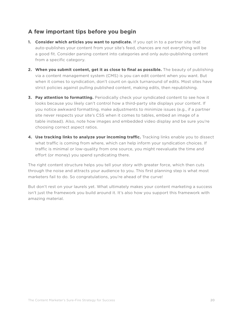### **A few important tips before you begin**

- **1. Consider which articles you want to syndicate.** If you opt in to a partner site that auto-publishes your content from your site's feed, chances are not everything will be a good fit. Consider parsing content into categories and only auto-publishing content from a specific category.
- **2. When you submit content, get it as close to final as possible.** The beauty of publishing via a content management system (CMS) is you can edit content when you want. But when it comes to syndication, don't count on quick turnaround of edits. Most sites have strict policies against pulling published content, making edits, then republishing.
- **3. Pay attention to formatting.** Periodically check your syndicated content to see how it looks because you likely can't control how a third-party site displays your content. If you notice awkward formatting, make adjustments to minimize issues (e.g., if a partner site never respects your site's CSS when it comes to tables, embed an image of a table instead). Also, note how images and embedded video display and be sure you're choosing correct aspect ratios.
- **4. Use tracking links to analyze your incoming traffic.** Tracking links enable you to dissect what traffic is coming from where, which can help inform your syndication choices. If traffic is minimal or low-quality from one source, you might reevaluate the time and effort (or money) you spend syndicating there.

The right content structure helps you tell your story with greater force, which then cuts through the noise and attracts your audience to you. This first planning step is what most marketers fail to do. So congratulations, you're ahead of the curve!

But don't rest on your laurels yet. What ultimately makes your content marketing a success isn't just the framework you build around it. It's also how you support this framework with amazing material.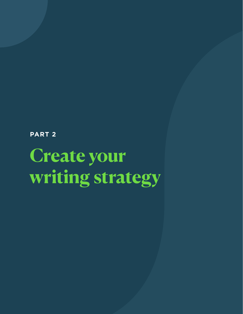**PART 2**

# **Create your writing strategy**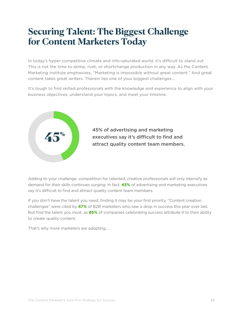### <span id="page-21-0"></span>**Securing Talent: The Biggest Challenge for Content Marketers Today**

In today's hyper-competitive climate and info-saturated world, it's difficult to stand out. This is not the time to skimp, rush, or shortchange production in any way. As the Content Marketing Institute emphasizes, "Marketing is impossible without great content." And great content takes great writers. Therein lies one of your biggest challenges...

It's tough to find skilled professionals with the knowledge and experience to align with your business objectives, understand your topics, and meet your timeline.



Adding to your challenge, competition for talented, creative professionals will only intensify as demand for their skills continues surging. In fact, **[45%](http://contentmarketinginstitute.com/2017/06/content-marketing-industry-hiring/)** of advertising and marketing executives say it's difficult to find and attract quality content team members.

If you don't have the talent you need, finding it may be your first priority. "Content creation challenges" were cited by **[47%](http://contentmarketinginstitute.com/wp-content/uploads/2016/09/2017_B2B_Research_FINAL.pdf)** of B2B marketers who saw a drop in success this year over last. But find the talent you must, as **[85%](http://contentmarketinginstitute.com/wp-content/uploads/2016/09/2017_B2B_Research_FINAL.pdf)** of companies celebrating success attribute it to their ability to create quality content.

That's why more marketers are adopting...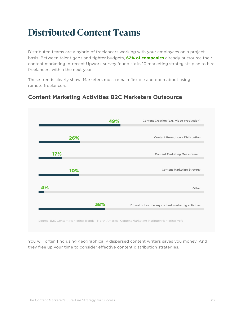# <span id="page-22-0"></span>**Distributed Content Teams**

Distributed teams are a hybrid of freelancers working with your employees on a project basis. Between talent gaps and tighter budgets, **[62% of companies](http://www.demandmetric.com/content/content-marketing-infographic)** already outsource their content marketing. A recent Upwork survey found six in 10 marketing strategists plan to hire freelancers within the next year.

These trends clearly show: Marketers must remain flexible and open about using remote freelancers.

### **Content Marketing Activities B2C Marketers Outsource**



You will often find using geographically dispersed content writers saves you money. And they free up your time to consider effective content distribution strategies.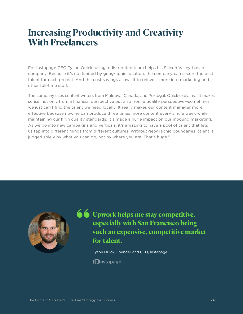### <span id="page-23-0"></span>**Increasing Productivity and Creativity With Freelancers**

For Instapage CEO Tyson Quick, using a distributed team helps his Silicon Valley-based company. Because it's not limited by geographic location, the company can secure the best talent for each project. And the cost savings allows it to reinvest more into marketing and other full-time staff.

The company uses content writers from Moldova, Canada, and Portugal. Quick explains, "It makes sense, not only from a financial perspective but also from a quality perspective—sometimes we just can't find the talent we need locally. It really makes our content manager more effective because now he can produce three times more content every single week while maintaining our high quality standards. It's made a huge impact on our inbound marketing. As we go into new campaigns and verticals, it's amazing to have a pool of talent that lets us tap into different minds from different cultures. Without geographic boundaries, talent is judged solely by what you can do, not by where you are. That's huge."



**66** Upwork helps me stay competitive, **especially with San Francisco being such an expensive, competitive market for talent.**

Tyson Quick, Founder and CEO, Instapage

∥∏Instapage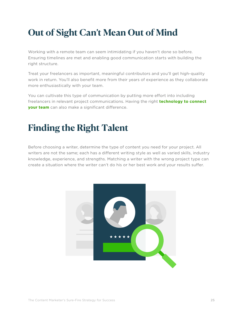# <span id="page-24-0"></span>**Out of Sight Can't Mean Out of Mind**

Working with a remote team can seem intimidating if you haven't done so before. Ensuring timelines are met and enabling good communication starts with building the right structure.

Treat your freelancers as important, meaningful contributors and you'll get high-quality work in return. You'll also benefit more from their years of experience as they collaborate more enthusiastically with your team.

You can cultivate this type of communication by putting more effort into including freelancers in relevant project communications. Having the right **[technology to connect](https://www.upwork.com/hiring/startup/18-essential-collaboration-tools-remote-teams/)  [your team](https://www.upwork.com/hiring/startup/18-essential-collaboration-tools-remote-teams/)** can also make a significant difference.

# **Finding the Right Talent**

Before choosing a writer, determine the type of content you need for your project. All writers are not the same; each has a different writing style as well as varied skills, industry knowledge, experience, and strengths. Matching a writer with the wrong project type can create a situation where the writer can't do his or her best work and your results suffer.

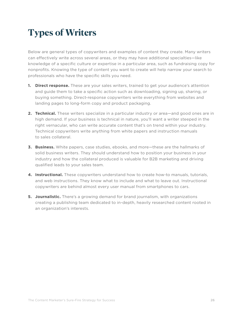# <span id="page-25-0"></span>**Types of Writers**

Below are general types of copywriters and examples of content they create. Many writers can effectively write across several areas, or they may have additional specialties—like knowledge of a specific culture or expertise in a particular area, such as fundraising copy for nonprofits. Knowing the type of content you want to create will help narrow your search to professionals who have the specific skills you need.

- **1. Direct response.** These are your sales writers, trained to get your audience's attention and guide them to take a specific action such as downloading, signing up, sharing, or buying something. Direct-response copywriters write everything from websites and landing pages to long-form copy and product packaging.
- **2. Technical.** These writers specialize in a particular industry or area—and good ones are in high demand. If your business is technical in nature, you'll want a writer steeped in the right vernacular, who can write accurate content that's on trend within your industry. Technical copywriters write anything from white papers and instruction manuals to sales collateral.
- **3. Business.** White papers, case studies, ebooks, and more—these are the hallmarks of solid business writers. They should understand how to position your business in your industry and how the collateral produced is valuable for B2B marketing and driving qualified leads to your sales team.
- **4. Instructional.** These copywriters understand how to create how-to manuals, tutorials, and web instructions. They know what to include and what to leave out. Instructional copywriters are behind almost every user manual from smartphones to cars.
- **5. Journalistic.** There's a growing demand for brand journalism, with organizations creating a publishing team dedicated to in-depth, heavily researched content rooted in an organization's interests.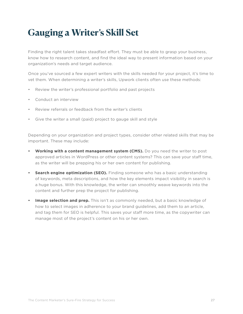# <span id="page-26-0"></span>**Gauging a Writer's Skill Set**

Finding the right talent takes steadfast effort. They must be able to grasp your business, know how to research content, and find the ideal way to present information based on your organization's needs and target audience.

Once you've sourced a few expert writers with the skills needed for your project, it's time to vet them. When determining a writer's skills, Upwork clients often use these methods:

- Review the writer's professional portfolio and past projects
- Conduct an interview
- Review referrals or feedback from the writer's clients
- Give the writer a small (paid) project to gauge skill and style

Depending on your organization and project types, consider other related skills that may be important. These may include:

- **• Working with a content management system (CMS).** Do you need the writer to post approved articles in WordPress or other content systems? This can save your staff time, as the writer will be prepping his or her own content for publishing.
- **• Search engine optimization (SEO).** Finding someone who has a basic understanding of keywords, meta descriptions, and how the key elements impact visibility in search is a huge bonus. With this knowledge, the writer can smoothly weave keywords into the content and further prep the project for publishing.
- **• Image selection and prep.** This isn't as commonly needed, but a basic knowledge of how to select images in adherence to your brand guidelines, add them to an article, and tag them for SEO is helpful. This saves your staff more time, as the copywriter can manage most of the project's content on his or her own.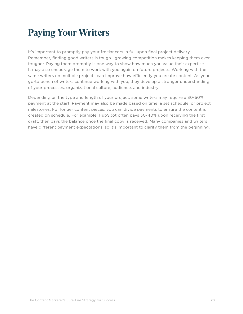# <span id="page-27-0"></span>**Paying Your Writers**

It's important to promptly pay your freelancers in full upon final project delivery. Remember, finding good writers is tough—growing competition makes keeping them even tougher. Paying them promptly is one way to show how much you value their expertise. It may also encourage them to work with you again on future projects. Working with the same writers on multiple projects can improve how efficiently you create content. As your go-to bench of writers continue working with you, they develop a stronger understanding of your processes, organizational culture, audience, and industry.

Depending on the type and length of your project, some writers may require a 30-50% payment at the start. Payment may also be made based on time, a set schedule, or project milestones. For longer content pieces, you can divide payments to ensure the content is created on schedule. For example, HubSpot often pays 30-40% upon receiving the first draft, then pays the balance once the final copy is received. Many companies and writers have different payment expectations, so it's important to clarify them from the beginning.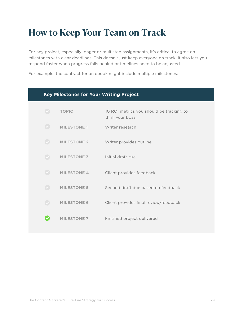# <span id="page-28-0"></span>**How to Keep Your Team on Track**

For any project, especially longer or multistep assignments, it's critical to agree on milestones with clear deadlines. This doesn't just keep everyone on track; it also lets you respond faster when progress falls behind or timelines need to be adjusted.

For example, the contract for an ebook might include multiple milestones:

|                                   | <b>Key Milestones for Your Writing Project</b> |                                                               |  |  |  |  |  |  |  |
|-----------------------------------|------------------------------------------------|---------------------------------------------------------------|--|--|--|--|--|--|--|
| $\blacktriangledown$              | <b>TOPIC</b>                                   | 10 ROI metrics you should be tracking to<br>thrill your boss. |  |  |  |  |  |  |  |
| $\left( \mathbf{v}\right)$        | <b>MILESTONE 1</b>                             | Writer research                                               |  |  |  |  |  |  |  |
| $\left( \bigtriangledown \right)$ | <b>MILESTONE 2</b>                             | Writer provides outline                                       |  |  |  |  |  |  |  |
| $(\checkmark)$                    | <b>MILESTONE 3</b>                             | Initial draft cue                                             |  |  |  |  |  |  |  |
| $\left( \bigvee \right)$          | <b>MILESTONE 4</b>                             | Client provides feedback                                      |  |  |  |  |  |  |  |
| $\left( \mathbf{v}\right)$        | <b>MILESTONE 5</b>                             | Second draft due based on feedback                            |  |  |  |  |  |  |  |
|                                   | <b>MILESTONE 6</b>                             | Client provides final review/feedback                         |  |  |  |  |  |  |  |
|                                   | <b>MILESTONE 7</b>                             | Finished project delivered                                    |  |  |  |  |  |  |  |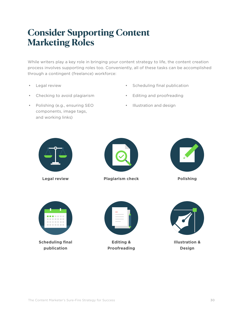## <span id="page-29-0"></span>**Consider Supporting Content Marketing Roles**

While writers play a key role in bringing your content strategy to life, the content creation process involves supporting roles too. Conveniently, all of these tasks can be accomplished through a contingent (freelance) workforce:

- Legal review
- Checking to avoid plagiarism
- Polishing (e.g., ensuring SEO components, image tags, and working links)
- Scheduling final publication
- Editing and proofreading
- Illustration and design



**Legal review**



**Plagiarism check**



**Polishing**



**Scheduling final publication**



**Editing & Proofreading**



**Illustration & Design**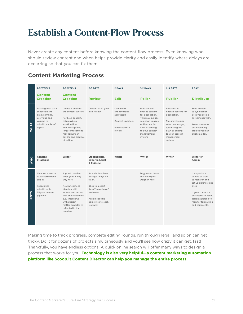### <span id="page-30-0"></span>**Establish a Content-Flow Process**

Never create any content before knowing the content-flow process. Even knowing who should review content and when helps provide clarity and easily identify where delays are occurring so that you can fix them.

### **Content Marketing Process**

|             | 2-3 WEEKS<br><b>Content</b><br><b>Creation</b>                                                                          | 2-3 WEEKS<br><b>Content</b><br><b>Creation</b>                                                                                                                                                                               | 2-3 DAYS<br><b>Review</b>                                                                                                                                       | 2 DAYS<br><b>Edit</b>                                                                           | $1-2$ DAYS<br><b>Polish</b>                                                                                                                                                  | 2-4 DAYS<br><b>Publish</b>                                                                                                                                                   | 1 DAY<br><b>Distribute</b>                                                                                                                                                                   |
|-------------|-------------------------------------------------------------------------------------------------------------------------|------------------------------------------------------------------------------------------------------------------------------------------------------------------------------------------------------------------------------|-----------------------------------------------------------------------------------------------------------------------------------------------------------------|-------------------------------------------------------------------------------------------------|------------------------------------------------------------------------------------------------------------------------------------------------------------------------------|------------------------------------------------------------------------------------------------------------------------------------------------------------------------------|----------------------------------------------------------------------------------------------------------------------------------------------------------------------------------------------|
| <b>WHAT</b> | Starting with data<br>collection and<br>brainstorming.<br>use value and<br>volume to<br>prioritize a list of<br>topics. | Create a brief for<br>the content writers.<br>For blog content,<br>this maybe a<br>working title<br>and description;<br>long-term content<br>may require an<br>outline and creative<br>direction.                            | Content draft goes<br>into review                                                                                                                               | Comments<br>and revisions<br>addressed.<br>Content updated.<br><b>Final courtesy</b><br>review. | Prepare and<br>finalize content<br>for publication.<br>This may include<br>selection images,<br>optimizing for<br>SEO, or adding<br>to your contetn<br>management<br>system. | Prepare and<br>finalize content for<br>publication.<br>This may include<br>selection images,<br>optimizing for<br>SEO, or adding<br>to your contetn<br>management<br>system. | Send content<br>to syndication<br>sites you set up<br>agreements with.<br>Some sites max<br>out how many<br>articles you can<br>publish a day.                                               |
| <b>OHM</b>  | Content<br><b>Strategist</b>                                                                                            | Writer                                                                                                                                                                                                                       | Stakeholders,<br><b>Experts, Legal</b><br>& Editorial                                                                                                           | Writer                                                                                          | Writer                                                                                                                                                                       | Writer                                                                                                                                                                       | Writer or<br>Admin                                                                                                                                                                           |
| HINTS       | Ideation is crucial<br>to success-don't<br>skip it!<br>Kepp ideas<br>prioritized to<br>fill vour contetn<br>pipeline.   | A good creative<br>brief goes a long<br>way here!<br>Review content<br>ideation with<br>writers and ensure<br>that any research-<br>e.g., interviews<br>with subject-<br>matter expertes-is<br>reflected in the<br>timeline. | Provide deadlines<br>ot kepp things on<br>track.<br>Stick to a short<br>list of "must have"<br>reviewers.<br>Assign specific<br>objectives to each<br>reviewer. |                                                                                                 | <b>Suggestion: Have</b><br>an SEO expert<br>weigh in here.                                                                                                                   |                                                                                                                                                                              | It may take a<br>couple of days<br>to research and<br>set up partnerships<br>sites.<br>If your contetn is<br>on automatic feed,<br>assign a person to<br>monitor formatting<br>and comments. |

Making time to track progress, complete editing rounds, run through legal, and so on can get tricky. Do it for dozens of projects simultaneously and you'll see how crazy it can get, fast! Thankfully, you have endless options. A quick online search will offer many ways to design a process that works for you. **Technology is also very helpful—a content marketing automation platform like Scoop.it Content Director can help you manage the entire process.**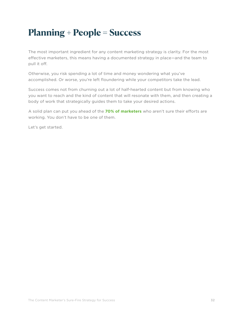# <span id="page-31-0"></span>**Planning + People = Success**

The most important ingredient for any content marketing strategy is clarity. For the most effective marketers, this means having a documented strategy in place—and the team to pull it off.

Otherwise, you risk spending a lot of time and money wondering what you've accomplished. Or worse, you're left floundering while your competitors take the lead.

Success comes not from churning out a lot of half-hearted content but from knowing who you want to reach and the kind of content that will resonate with them, and then creating a body of work that strategically guides them to take your desired actions.

A solid plan can put you ahead of the **[70% of marketers](http://contentmarketinginstitute.com/wp-content/uploads/2016/09/2017_B2B_Research_FINAL.pdf)** who aren't sure their efforts are working. You don't have to be one of them.

Let's get started.